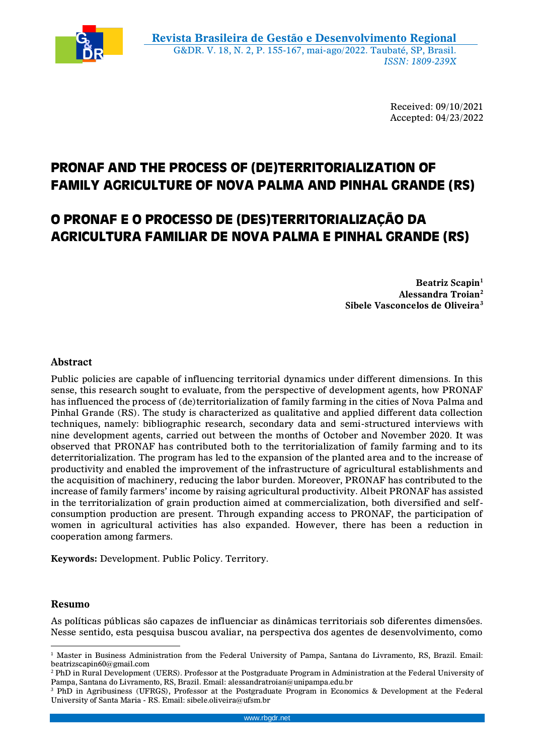

Received: 09/10/2021 Accepted: 04/23/2022

# **PRONAF AND THE PROCESS OF (DE)TERRITORIALIZATION OF FAMILY AGRICULTURE OF NOVA PALMA AND PINHAL GRANDE (RS)**

# **O PRONAF E O PROCESSO DE (DES)TERRITORIALIZAÇÃO DA AGRICULTURA FAMILIAR DE NOVA PALMA E PINHAL GRANDE (RS)**

**Beatriz Scapin<sup>1</sup> Alessandra Troian<sup>2</sup> Sibele Vasconcelos de Oliveira<sup>3</sup>**

# **Abstract**

Public policies are capable of influencing territorial dynamics under different dimensions. In this sense, this research sought to evaluate, from the perspective of development agents, how PRONAF has influenced the process of (de)territorialization of family farming in the cities of Nova Palma and Pinhal Grande (RS). The study is characterized as qualitative and applied different data collection techniques, namely: bibliographic research, secondary data and semi-structured interviews with nine development agents, carried out between the months of October and November 2020. It was observed that PRONAF has contributed both to the territorialization of family farming and to its deterritorialization. The program has led to the expansion of the planted area and to the increase of productivity and enabled the improvement of the infrastructure of agricultural establishments and the acquisition of machinery, reducing the labor burden. Moreover, PRONAF has contributed to the increase of family farmers' income by raising agricultural productivity. Albeit PRONAF has assisted in the territorialization of grain production aimed at commercialization, both diversified and selfconsumption production are present. Through expanding access to PRONAF, the participation of women in agricultural activities has also expanded. However, there has been a reduction in cooperation among farmers.

**Keywords:** Development. Public Policy. Territory.

#### **Resumo**

 $\overline{a}$ 

As políticas públicas são capazes de influenciar as dinâmicas territoriais sob diferentes dimensões. Nesse sentido, esta pesquisa buscou avaliar, na perspectiva dos agentes de desenvolvimento, como

<sup>1</sup> Master in Business Administration from the Federal University of Pampa, Santana do Livramento, RS, Brazil. Email: beatrizscapin60@gmail.com

<sup>2</sup> PhD in Rural Development (UERS). Professor at the Postgraduate Program in Administration at the Federal University of Pampa, Santana do Livramento, RS, Brazil. Email: alessandratroian@unipampa.edu.br

<sup>3</sup> PhD in Agribusiness (UFRGS), Professor at the Postgraduate Program in Economics & Development at the Federal University of Santa Maria - RS. Email: sibele.oliveira@ufsm.br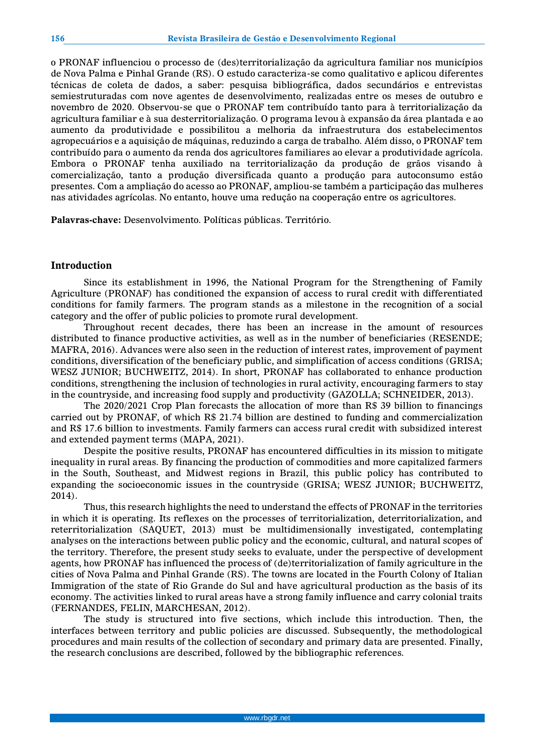o PRONAF influenciou o processo de (des)territorialização da agricultura familiar nos municípios de Nova Palma e Pinhal Grande (RS). O estudo caracteriza-se como qualitativo e aplicou diferentes técnicas de coleta de dados, a saber: pesquisa bibliográfica, dados secundários e entrevistas semiestruturadas com nove agentes de desenvolvimento, realizadas entre os meses de outubro e novembro de 2020. Observou-se que o PRONAF tem contribuído tanto para à territorialização da agricultura familiar e à sua desterritorialização. O programa levou à expansão da área plantada e ao aumento da produtividade e possibilitou a melhoria da infraestrutura dos estabelecimentos agropecuários e a aquisição de máquinas, reduzindo a carga de trabalho. Além disso, o PRONAF tem contribuído para o aumento da renda dos agricultores familiares ao elevar a produtividade agrícola. Embora o PRONAF tenha auxiliado na territorialização da produção de grãos visando à comercialização, tanto a produção diversificada quanto a produção para autoconsumo estão presentes. Com a ampliação do acesso ao PRONAF, ampliou-se também a participação das mulheres nas atividades agrícolas. No entanto, houve uma redução na cooperação entre os agricultores.

**Palavras-chave:** Desenvolvimento. Políticas públicas. Território.

# **Introduction**

Since its establishment in 1996, the National Program for the Strengthening of Family Agriculture (PRONAF) has conditioned the expansion of access to rural credit with differentiated conditions for family farmers. The program stands as a milestone in the recognition of a social category and the offer of public policies to promote rural development.

Throughout recent decades, there has been an increase in the amount of resources distributed to finance productive activities, as well as in the number of beneficiaries (RESENDE; MAFRA, 2016). Advances were also seen in the reduction of interest rates, improvement of payment conditions, diversification of the beneficiary public, and simplification of access conditions (GRISA; WESZ JUNIOR; BUCHWEITZ, 2014). In short, PRONAF has collaborated to enhance production conditions, strengthening the inclusion of technologies in rural activity, encouraging farmers to stay in the countryside, and increasing food supply and productivity (GAZOLLA; SCHNEIDER, 2013).

The 2020/2021 Crop Plan forecasts the allocation of more than R\$ 39 billion to financings carried out by PRONAF, of which R\$ 21.74 billion are destined to funding and commercialization and R\$ 17.6 billion to investments. Family farmers can access rural credit with subsidized interest and extended payment terms (MAPA, 2021).

Despite the positive results, PRONAF has encountered difficulties in its mission to mitigate inequality in rural areas. By financing the production of commodities and more capitalized farmers in the South, Southeast, and Midwest regions in Brazil, this public policy has contributed to expanding the socioeconomic issues in the countryside (GRISA; WESZ JUNIOR; BUCHWEITZ, 2014).

Thus, this research highlights the need to understand the effects of PRONAF in the territories in which it is operating. Its reflexes on the processes of territorialization, deterritorialization, and reterritorialization (SAQUET, 2013) must be multidimensionally investigated, contemplating analyses on the interactions between public policy and the economic, cultural, and natural scopes of the territory. Therefore, the present study seeks to evaluate, under the perspective of development agents, how PRONAF has influenced the process of (de)territorialization of family agriculture in the cities of Nova Palma and Pinhal Grande (RS). The towns are located in the Fourth Colony of Italian Immigration of the state of Rio Grande do Sul and have agricultural production as the basis of its economy. The activities linked to rural areas have a strong family influence and carry colonial traits (FERNANDES, FELIN, MARCHESAN, 2012).

The study is structured into five sections, which include this introduction. Then, the interfaces between territory and public policies are discussed. Subsequently, the methodological procedures and main results of the collection of secondary and primary data are presented. Finally, the research conclusions are described, followed by the bibliographic references.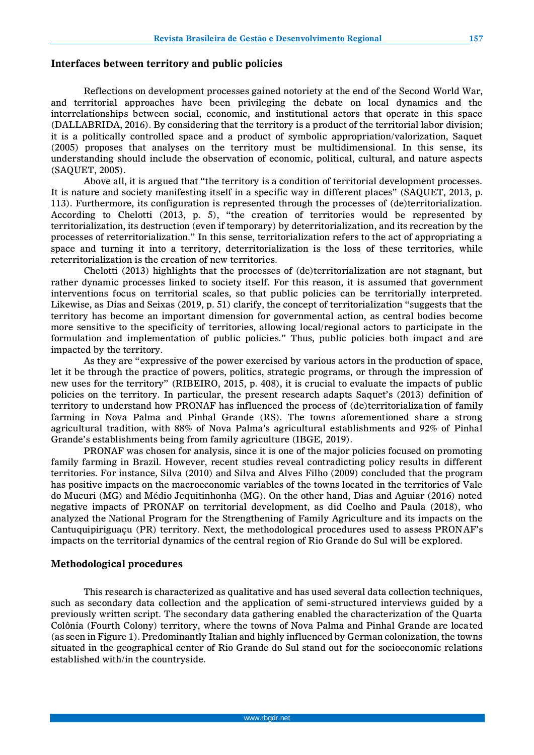#### **Interfaces between territory and public policies**

Reflections on development processes gained notoriety at the end of the Second World War, and territorial approaches have been privileging the debate on local dynamics and the interrelationships between social, economic, and institutional actors that operate in this space (DALLABRIDA, 2016). By considering that the territory is a product of the territorial labor division; it is a politically controlled space and a product of symbolic appropriation/valorization, Saquet (2005) proposes that analyses on the territory must be multidimensional. In this sense, its understanding should include the observation of economic, political, cultural, and nature aspects (SAQUET, 2005).

Above all, it is argued that "the territory is a condition of territorial development processes. It is nature and society manifesting itself in a specific way in different places" (SAQUET, 2013, p. 113). Furthermore, its configuration is represented through the processes of (de)territorialization. According to Chelotti (2013, p. 5), "the creation of territories would be represented by territorialization, its destruction (even if temporary) by deterritorialization, and its recreation by the processes of reterritorialization." In this sense, territorialization refers to the act of appropriating a space and turning it into a territory, deterritorialization is the loss of these territories, while reterritorialization is the creation of new territories.

Chelotti (2013) highlights that the processes of (de)territorialization are not stagnant, but rather dynamic processes linked to society itself. For this reason, it is assumed that government interventions focus on territorial scales, so that public policies can be territorially interpreted. Likewise, as Dias and Seixas (2019, p. 51) clarify, the concept of territorialization "suggests that the territory has become an important dimension for governmental action, as central bodies become more sensitive to the specificity of territories, allowing local/regional actors to participate in the formulation and implementation of public policies." Thus, public policies both impact and are impacted by the territory.

As they are "expressive of the power exercised by various actors in the production of space, let it be through the practice of powers, politics, strategic programs, or through the impression of new uses for the territory" (RIBEIRO, 2015, p. 408), it is crucial to evaluate the impacts of public policies on the territory. In particular, the present research adapts Saquet's (2013) definition of territory to understand how PRONAF has influenced the process of (de)territorialization of family farming in Nova Palma and Pinhal Grande (RS). The towns aforementioned share a strong agricultural tradition, with 88% of Nova Palma's agricultural establishments and 92% of Pinhal Grande's establishments being from family agriculture (IBGE, 2019).

PRONAF was chosen for analysis, since it is one of the major policies focused on promoting family farming in Brazil. However, recent studies reveal contradicting policy results in different territories. For instance, Silva (2010) and Silva and Alves Filho (2009) concluded that the program has positive impacts on the macroeconomic variables of the towns located in the territories of Vale do Mucuri (MG) and Médio Jequitinhonha (MG). On the other hand, Dias and Aguiar (2016) noted negative impacts of PRONAF on territorial development, as did Coelho and Paula (2018), who analyzed the National Program for the Strengthening of Family Agriculture and its impacts on the Cantuquipiriguaçu (PR) territory. Next, the methodological procedures used to assess PRONAF's impacts on the territorial dynamics of the central region of Rio Grande do Sul will be explored.

#### **Methodological procedures**

This research is characterized as qualitative and has used several data collection techniques, such as secondary data collection and the application of semi-structured interviews guided by a previously written script. The secondary data gathering enabled the characterization of the Quarta Colônia (Fourth Colony) territory, where the towns of Nova Palma and Pinhal Grande are located (as seen in Figure 1). Predominantly Italian and highly influenced by German colonization, the towns situated in the geographical center of Rio Grande do Sul stand out for the socioeconomic relations established with/in the countryside.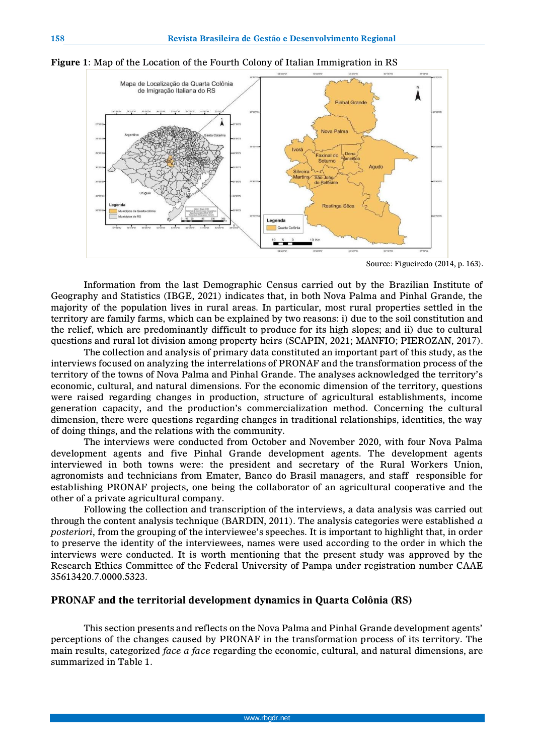

**Figure 1**: Map of the Location of the Fourth Colony of Italian Immigration in RS

Source: Figueiredo (2014, p. 163).

Information from the last Demographic Census carried out by the Brazilian Institute of Geography and Statistics (IBGE, 2021) indicates that, in both Nova Palma and Pinhal Grande, the majority of the population lives in rural areas. In particular, most rural properties settled in the territory are family farms, which can be explained by two reasons: i) due to the soil constitution and the relief, which are predominantly difficult to produce for its high slopes; and ii) due to cultural questions and rural lot division among property heirs (SCAPIN, 2021; MANFIO; PIEROZAN, 2017).

The collection and analysis of primary data constituted an important part of this study, as the interviews focused on analyzing the interrelations of PRONAF and the transformation process of the territory of the towns of Nova Palma and Pinhal Grande. The analyses acknowledged the territory's economic, cultural, and natural dimensions. For the economic dimension of the territory, questions were raised regarding changes in production, structure of agricultural establishments, income generation capacity, and the production's commercialization method. Concerning the cultural dimension, there were questions regarding changes in traditional relationships, identities, the way of doing things, and the relations with the community.

The interviews were conducted from October and November 2020, with four Nova Palma development agents and five Pinhal Grande development agents. The development agents interviewed in both towns were: the president and secretary of the Rural Workers Union, agronomists and technicians from Emater, Banco do Brasil managers, and staff responsible for establishing PRONAF projects, one being the collaborator of an agricultural cooperative and the other of a private agricultural company.

Following the collection and transcription of the interviews, a data analysis was carried out through the content analysis technique (BARDIN, 2011). The analysis categories were established *a posteriori*, from the grouping of the interviewee's speeches. It is important to highlight that, in order to preserve the identity of the interviewees, names were used according to the order in which the interviews were conducted. It is worth mentioning that the present study was approved by the Research Ethics Committee of the Federal University of Pampa under registration number CAAE 35613420.7.0000.5323.

# **PRONAF and the territorial development dynamics in Quarta Colônia (RS)**

This section presents and reflects on the Nova Palma and Pinhal Grande development agents' perceptions of the changes caused by PRONAF in the transformation process of its territory. The main results, categorized *face a face* regarding the economic, cultural, and natural dimensions, are summarized in Table 1.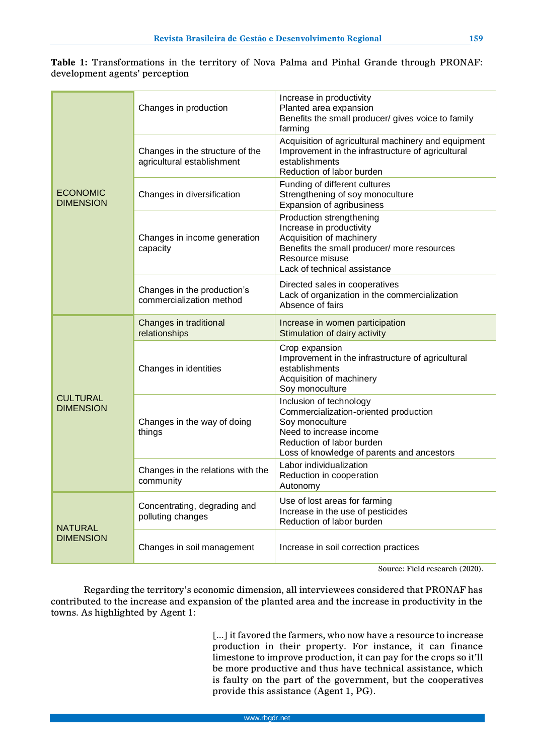|                                |  |  |  |  |  | <b>Table 1:</b> Transformations in the territory of Nova Palma and Pinhal Grande through PRONAF: |
|--------------------------------|--|--|--|--|--|--------------------------------------------------------------------------------------------------|
| development agents' perception |  |  |  |  |  |                                                                                                  |

|                                     | Changes in production                                         | Increase in productivity<br>Planted area expansion<br>Benefits the small producer/ gives voice to family<br>farming                                                                       |  |  |  |  |
|-------------------------------------|---------------------------------------------------------------|-------------------------------------------------------------------------------------------------------------------------------------------------------------------------------------------|--|--|--|--|
|                                     | Changes in the structure of the<br>agricultural establishment | Acquisition of agricultural machinery and equipment<br>Improvement in the infrastructure of agricultural<br>establishments<br>Reduction of labor burden                                   |  |  |  |  |
| <b>ECONOMIC</b><br><b>DIMENSION</b> | Changes in diversification                                    | Funding of different cultures<br>Strengthening of soy monoculture<br>Expansion of agribusiness                                                                                            |  |  |  |  |
|                                     | Changes in income generation<br>capacity                      | Production strengthening<br>Increase in productivity<br>Acquisition of machinery<br>Benefits the small producer/ more resources<br>Resource misuse<br>Lack of technical assistance        |  |  |  |  |
|                                     | Changes in the production's<br>commercialization method       | Directed sales in cooperatives<br>Lack of organization in the commercialization<br>Absence of fairs                                                                                       |  |  |  |  |
|                                     | Changes in traditional<br>relationships                       | Increase in women participation<br>Stimulation of dairy activity                                                                                                                          |  |  |  |  |
|                                     | Changes in identities                                         | Crop expansion<br>Improvement in the infrastructure of agricultural<br>establishments<br>Acquisition of machinery<br>Soy monoculture                                                      |  |  |  |  |
| <b>CULTURAL</b><br><b>DIMENSION</b> | Changes in the way of doing<br>things                         | Inclusion of technology<br>Commercialization-oriented production<br>Soy monoculture<br>Need to increase income<br>Reduction of labor burden<br>Loss of knowledge of parents and ancestors |  |  |  |  |
|                                     | Changes in the relations with the<br>community                | Labor individualization<br>Reduction in cooperation<br>Autonomy                                                                                                                           |  |  |  |  |
| <b>NATURAL</b>                      | Concentrating, degrading and<br>polluting changes             | Use of lost areas for farming<br>Increase in the use of pesticides<br>Reduction of labor burden                                                                                           |  |  |  |  |
| <b>DIMENSION</b>                    | Changes in soil management                                    | Increase in soil correction practices                                                                                                                                                     |  |  |  |  |

Source: Field research (2020).

Regarding the territory's economic dimension, all interviewees considered that PRONAF has contributed to the increase and expansion of the planted area and the increase in productivity in the towns. As highlighted by Agent 1:

> [...] it favored the farmers, who now have a resource to increase production in their property. For instance, it can finance limestone to improve production, it can pay for the crops so it'll be more productive and thus have technical assistance, which is faulty on the part of the government, but the cooperatives provide this assistance (Agent 1, PG).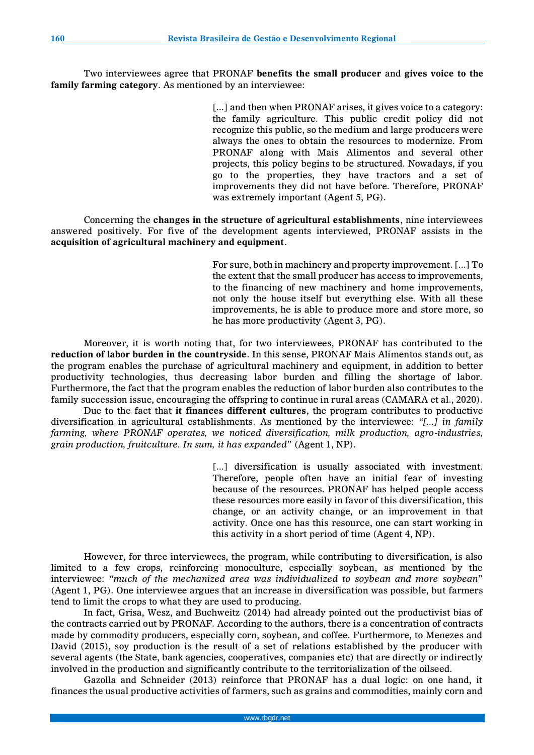Two interviewees agree that PRONAF **benefits the small producer** and **gives voice to the family farming category**. As mentioned by an interviewee:

> [...] and then when PRONAF arises, it gives voice to a category: the family agriculture. This public credit policy did not recognize this public, so the medium and large producers were always the ones to obtain the resources to modernize. From PRONAF along with Mais Alimentos and several other projects, this policy begins to be structured. Nowadays, if you go to the properties, they have tractors and a set of improvements they did not have before. Therefore, PRONAF was extremely important (Agent 5, PG).

Concerning the **changes in the structure of agricultural establishments**, nine interviewees answered positively. For five of the development agents interviewed, PRONAF assists in the **acquisition of agricultural machinery and equipment**.

> For sure, both in machinery and property improvement. [...] To the extent that the small producer has access to improvements, to the financing of new machinery and home improvements, not only the house itself but everything else. With all these improvements, he is able to produce more and store more, so he has more productivity (Agent 3, PG).

Moreover, it is worth noting that, for two interviewees, PRONAF has contributed to the **reduction of labor burden in the countryside**. In this sense, PRONAF Mais Alimentos stands out, as the program enables the purchase of agricultural machinery and equipment, in addition to better productivity technologies, thus decreasing labor burden and filling the shortage of labor. Furthermore, the fact that the program enables the reduction of labor burden also contributes to the family succession issue, encouraging the offspring to continue in rural areas (CAMARA et al., 2020).

Due to the fact that **it finances different cultures**, the program contributes to productive diversification in agricultural establishments. As mentioned by the interviewee: *"[...] in family farming, where PRONAF operates, we noticed diversification, milk production, agro-industries, grain production, fruitculture. In sum, it has expanded"* (Agent 1, NP).

> [...] diversification is usually associated with investment. Therefore, people often have an initial fear of investing because of the resources. PRONAF has helped people access these resources more easily in favor of this diversification, this change, or an activity change, or an improvement in that activity. Once one has this resource, one can start working in this activity in a short period of time (Agent 4, NP).

However, for three interviewees, the program, while contributing to diversification, is also limited to a few crops, reinforcing monoculture, especially soybean, as mentioned by the interviewee: *"much of the mechanized area was individualized to soybean and more soybean"* (Agent 1, PG). One interviewee argues that an increase in diversification was possible, but farmers tend to limit the crops to what they are used to producing.

In fact, Grisa, Wesz, and Buchweitz (2014) had already pointed out the productivist bias of the contracts carried out by PRONAF. According to the authors, there is a concentration of contracts made by commodity producers, especially corn, soybean, and coffee. Furthermore, to Menezes and David (2015), soy production is the result of a set of relations established by the producer with several agents (the State, bank agencies, cooperatives, companies etc) that are directly or indirectly involved in the production and significantly contribute to the territorialization of the oilseed.

Gazolla and Schneider (2013) reinforce that PRONAF has a dual logic: on one hand, it finances the usual productive activities of farmers, such as grains and commodities, mainly corn and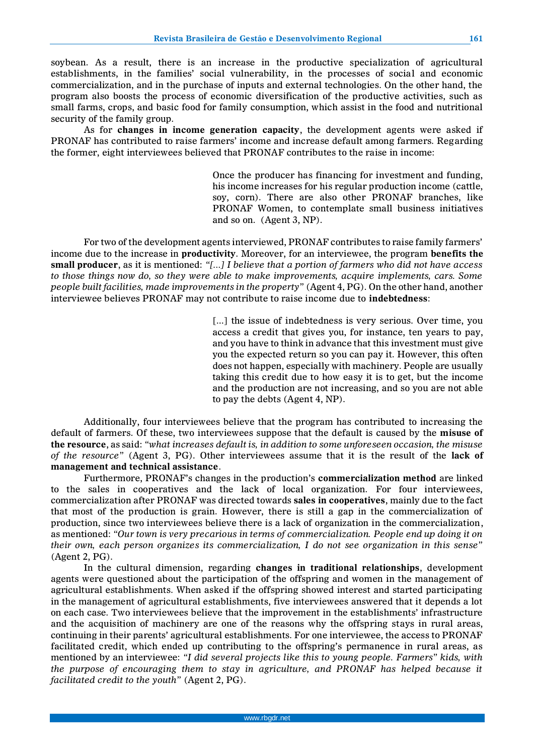soybean. As a result, there is an increase in the productive specialization of agricultural establishments, in the families' social vulnerability, in the processes of social and economic commercialization, and in the purchase of inputs and external technologies. On the other hand, the program also boosts the process of economic diversification of the productive activities, such as small farms, crops, and basic food for family consumption, which assist in the food and nutritional security of the family group.

As for **changes in income generation capacity**, the development agents were asked if PRONAF has contributed to raise farmers' income and increase default among farmers. Regarding the former, eight interviewees believed that PRONAF contributes to the raise in income:

> Once the producer has financing for investment and funding, his income increases for his regular production income (cattle, soy, corn). There are also other PRONAF branches, like PRONAF Women, to contemplate small business initiatives and so on. (Agent 3, NP).

For two of the development agents interviewed, PRONAF contributes to raise family farmers' income due to the increase in **productivity**. Moreover, for an interviewee, the program **benefits the small producer**, as it is mentioned: *"[...] I believe that a portion of farmers who did not have access to those things now do, so they were able to make improvements, acquire implements, cars. Some people built facilities, made improvements in the property"* (Agent 4, PG). On the other hand, another interviewee believes PRONAF may not contribute to raise income due to **indebtedness**:

> [...] the issue of indebtedness is very serious. Over time, you access a credit that gives you, for instance, ten years to pay, and you have to think in advance that this investment must give you the expected return so you can pay it. However, this often does not happen, especially with machinery. People are usually taking this credit due to how easy it is to get, but the income and the production are not increasing, and so you are not able to pay the debts (Agent 4, NP).

Additionally, four interviewees believe that the program has contributed to increasing the default of farmers. Of these, two interviewees suppose that the default is caused by the **misuse of the resource**, as said: *"what increases default is, in addition to some unforeseen occasion, the misuse of the resource"* (Agent 3, PG). Other interviewees assume that it is the result of the **lack of management and technical assistance**.

Furthermore, PRONAF's changes in the production's **commercialization method** are linked to the sales in cooperatives and the lack of local organization. For four interviewees, commercialization after PRONAF was directed towards **sales in cooperatives**, mainly due to the fact that most of the production is grain. However, there is still a gap in the commercialization of production, since two interviewees believe there is a lack of organization in the commercialization, as mentioned: *"Our town is very precarious in terms of commercialization. People end up doing it on their own, each person organizes its commercialization, I do not see organization in this sense"* (Agent 2, PG).

In the cultural dimension, regarding **changes in traditional relationships**, development agents were questioned about the participation of the offspring and women in the management of agricultural establishments. When asked if the offspring showed interest and started participating in the management of agricultural establishments, five interviewees answered that it depends a lot on each case. Two interviewees believe that the improvement in the establishments' infrastructure and the acquisition of machinery are one of the reasons why the offspring stays in rural areas, continuing in their parents' agricultural establishments. For one interviewee, the access to PRONAF facilitated credit, which ended up contributing to the offspring's permanence in rural areas, as mentioned by an interviewee: *"I did several projects like this to young people. Farmers" kids, with the purpose of encouraging them to stay in agriculture, and PRONAF has helped because it facilitated credit to the youth"* (Agent 2, PG).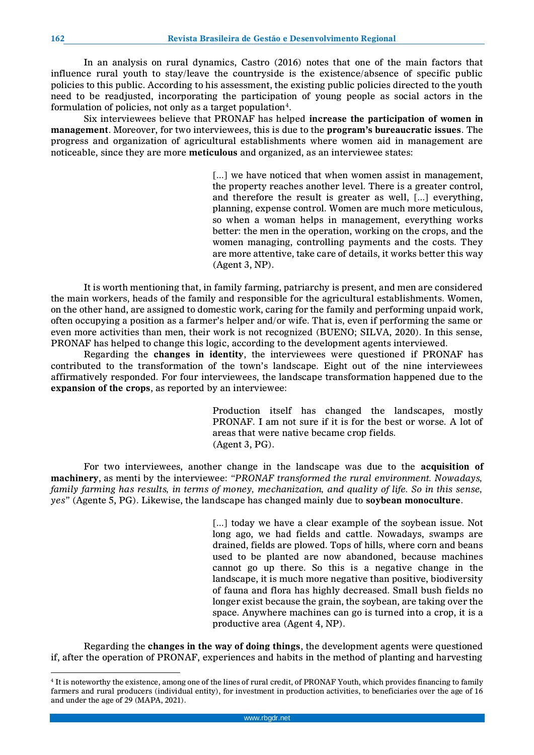In an analysis on rural dynamics, Castro (2016) notes that one of the main factors that influence rural youth to stay/leave the countryside is the existence/absence of specific public policies to this public. According to his assessment, the existing public policies directed to the youth need to be readjusted, incorporating the participation of young people as social actors in the formulation of policies, not only as a target population $^{\rm 4}$ .

Six interviewees believe that PRONAF has helped **increase the participation of women in management**. Moreover, for two interviewees, this is due to the **program's bureaucratic issues**. The progress and organization of agricultural establishments where women aid in management are noticeable, since they are more **meticulous** and organized, as an interviewee states:

> [...] we have noticed that when women assist in management, the property reaches another level. There is a greater control, and therefore the result is greater as well, [...] everything, planning, expense control. Women are much more meticulous, so when a woman helps in management, everything works better: the men in the operation, working on the crops, and the women managing, controlling payments and the costs. They are more attentive, take care of details, it works better this way (Agent 3, NP).

It is worth mentioning that, in family farming, patriarchy is present, and men are considered the main workers, heads of the family and responsible for the agricultural establishments. Women, on the other hand, are assigned to domestic work, caring for the family and performing unpaid work, often occupying a position as a farmer's helper and/or wife. That is, even if performing the same or even more activities than men, their work is not recognized (BUENO; SILVA, 2020). In this sense, PRONAF has helped to change this logic, according to the development agents interviewed.

Regarding the **changes in identity**, the interviewees were questioned if PRONAF has contributed to the transformation of the town's landscape. Eight out of the nine interviewees affirmatively responded. For four interviewees, the landscape transformation happened due to the **expansion of the crops**, as reported by an interviewee:

> Production itself has changed the landscapes, mostly PRONAF. I am not sure if it is for the best or worse. A lot of areas that were native became crop fields. (Agent 3, PG).

For two interviewees, another change in the landscape was due to the **acquisition of machinery**, as menti by the interviewee: *"PRONAF transformed the rural environment. Nowadays, family farming has results, in terms of money, mechanization, and quality of life. So in this sense, yes"* (Agente 5, PG). Likewise, the landscape has changed mainly due to **soybean monoculture**.

> [...] today we have a clear example of the soybean issue. Not long ago, we had fields and cattle. Nowadays, swamps are drained, fields are plowed. Tops of hills, where corn and beans used to be planted are now abandoned, because machines cannot go up there. So this is a negative change in the landscape, it is much more negative than positive, biodiversity of fauna and flora has highly decreased. Small bush fields no longer exist because the grain, the soybean, are taking over the space. Anywhere machines can go is turned into a crop, it is a productive area (Agent 4, NP).

Regarding the **changes in the way of doing things**, the development agents were questioned if, after the operation of PRONAF, experiences and habits in the method of planting and harvesting

 $\overline{a}$ 

<sup>4</sup> It is noteworthy the existence, among one of the lines of rural credit, of PRONAF Youth, which provides financing to family farmers and rural producers (individual entity), for investment in production activities, to beneficiaries over the age of 16 and under the age of 29 (MAPA, 2021).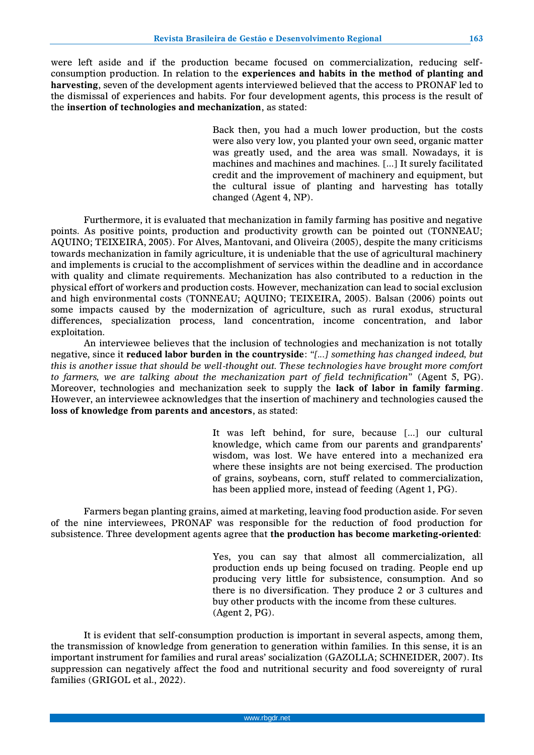were left aside and if the production became focused on commercialization, reducing selfconsumption production. In relation to the **experiences and habits in the method of planting and harvesting**, seven of the development agents interviewed believed that the access to PRONAF led to the dismissal of experiences and habits. For four development agents, this process is the result of the **insertion of technologies and mechanization**, as stated:

> Back then, you had a much lower production, but the costs were also very low, you planted your own seed, organic matter was greatly used, and the area was small. Nowadays, it is machines and machines and machines. [...] It surely facilitated credit and the improvement of machinery and equipment, but the cultural issue of planting and harvesting has totally changed (Agent 4, NP).

Furthermore, it is evaluated that mechanization in family farming has positive and negative points. As positive points, production and productivity growth can be pointed out (TONNEAU; AQUINO; TEIXEIRA, 2005). For Alves, Mantovani, and Oliveira (2005), despite the many criticisms towards mechanization in family agriculture, it is undeniable that the use of agricultural machinery and implements is crucial to the accomplishment of services within the deadline and in accordance with quality and climate requirements. Mechanization has also contributed to a reduction in the physical effort of workers and production costs. However, mechanization can lead to social exclusion and high environmental costs (TONNEAU; AQUINO; TEIXEIRA, 2005). Balsan (2006) points out some impacts caused by the modernization of agriculture, such as rural exodus, structural differences, specialization process, land concentration, income concentration, and labor exploitation.

An interviewee believes that the inclusion of technologies and mechanization is not totally negative, since it **reduced labor burden in the countryside**: *"[...] something has changed indeed, but this is another issue that should be well-thought out. These technologies have brought more comfort to farmers, we are talking about the mechanization part of field technification"* (Agent 5, PG). Moreover, technologies and mechanization seek to supply the **lack of labor in family farming**. However, an interviewee acknowledges that the insertion of machinery and technologies caused the **loss of knowledge from parents and ancestors**, as stated:

> It was left behind, for sure, because [...] our cultural knowledge, which came from our parents and grandparents' wisdom, was lost. We have entered into a mechanized era where these insights are not being exercised. The production of grains, soybeans, corn, stuff related to commercialization, has been applied more, instead of feeding (Agent 1, PG).

Farmers began planting grains, aimed at marketing, leaving food production aside. For seven of the nine interviewees, PRONAF was responsible for the reduction of food production for subsistence. Three development agents agree that **the production has become marketing-oriented**:

> Yes, you can say that almost all commercialization, all production ends up being focused on trading. People end up producing very little for subsistence, consumption. And so there is no diversification. They produce 2 or 3 cultures and buy other products with the income from these cultures. (Agent 2, PG).

It is evident that self-consumption production is important in several aspects, among them, the transmission of knowledge from generation to generation within families. In this sense, it is an important instrument for families and rural areas' socialization (GAZOLLA; SCHNEIDER, 2007). Its suppression can negatively affect the food and nutritional security and food sovereignty of rural families (GRIGOL et al., 2022).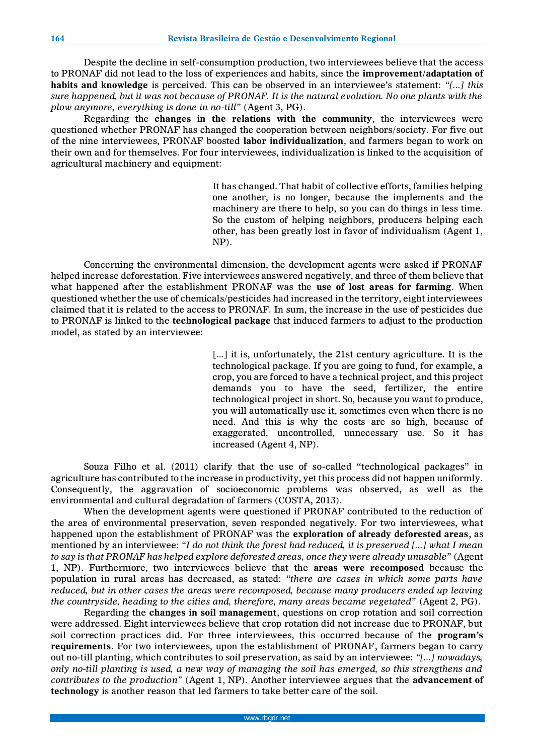Despite the decline in self-consumption production, two interviewees believe that the access to PRONAF did not lead to the loss of experiences and habits, since the **improvement/adaptation of habits and knowledge** is perceived. This can be observed in an interviewee's statement: *"[...] this sure happened, but it was not because of PRONAF. It is the natural evolution. No one plants with the plow anymore, everything is done in no-till"* (Agent 3, PG).

Regarding the **changes in the relations with the community**, the interviewees were questioned whether PRONAF has changed the cooperation between neighbors/society. For five out of the nine interviewees, PRONAF boosted **labor individualization**, and farmers began to work on their own and for themselves. For four interviewees, individualization is linked to the acquisition of agricultural machinery and equipment:

> It has changed. That habit of collective efforts, families helping one another, is no longer, because the implements and the machinery are there to help, so you can do things in less time. So the custom of helping neighbors, producers helping each other, has been greatly lost in favor of individualism (Agent 1, NP).

Concerning the environmental dimension, the development agents were asked if PRONAF helped increase deforestation. Five interviewees answered negatively, and three of them believe that what happened after the establishment PRONAF was the **use of lost areas for farming**. When questioned whether the use of chemicals/pesticides had increased in the territory, eight interviewees claimed that it is related to the access to PRONAF. In sum, the increase in the use of pesticides due to PRONAF is linked to the **technological package** that induced farmers to adjust to the production model, as stated by an interviewee:

> [...] it is, unfortunately, the 21st century agriculture. It is the technological package. If you are going to fund, for example, a crop, you are forced to have a technical project, and this project demands you to have the seed, fertilizer, the entire technological project in short. So, because you want to produce, you will automatically use it, sometimes even when there is no need. And this is why the costs are so high, because of exaggerated, uncontrolled, unnecessary use. So it has increased (Agent 4, NP).

Souza Filho et al. (2011) clarify that the use of so-called "technological packages" in agriculture has contributed to the increase in productivity, yet this process did not happen uniformly. Consequently, the aggravation of socioeconomic problems was observed, as well as the environmental and cultural degradation of farmers (COSTA, 2013).

When the development agents were questioned if PRONAF contributed to the reduction of the area of environmental preservation, seven responded negatively. For two interviewees, what happened upon the establishment of PRONAF was the **exploration of already deforested areas**, as mentioned by an interviewee: *"I do not think the forest had reduced, it is preserved [...] what I mean to say is that PRONAF has helped explore deforested areas, once they were already unusable"* (Agent 1, NP). Furthermore, two interviewees believe that the **areas were recomposed** because the population in rural areas has decreased, as stated: *"there are cases in which some parts have reduced, but in other cases the areas were recomposed, because many producers ended up leaving the countryside, heading to the cities and, therefore, many areas became vegetated"* (Agent 2, PG).

Regarding the **changes in soil management**, questions on crop rotation and soil correction were addressed. Eight interviewees believe that crop rotation did not increase due to PRONAF, but soil correction practices did. For three interviewees, this occurred because of the **program's requirements**. For two interviewees, upon the establishment of PRONAF, farmers began to carry out no-till planting, which contributes to soil preservation, as said by an interviewee: *"[...] nowadays, only no-till planting is used, a new way of managing the soil has emerged, so this strengthens and contributes to the production"* (Agent 1, NP). Another interviewee argues that the **advancement of technology** is another reason that led farmers to take better care of the soil.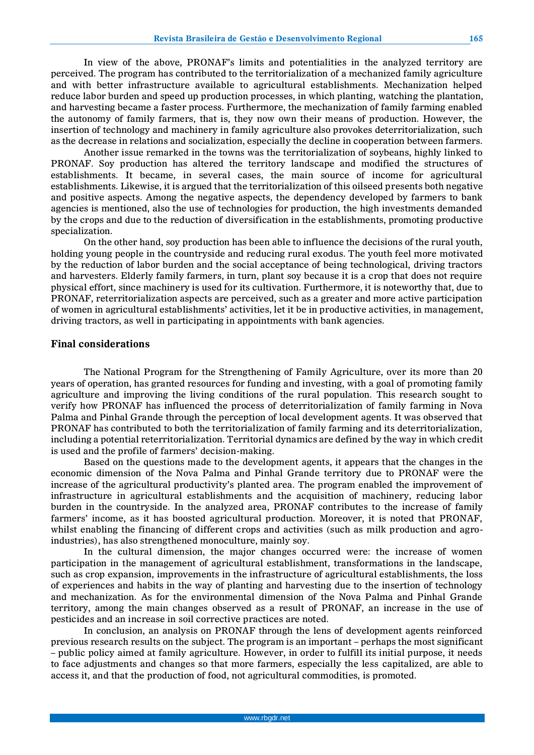In view of the above, PRONAF's limits and potentialities in the analyzed territory are perceived. The program has contributed to the territorialization of a mechanized family agriculture and with better infrastructure available to agricultural establishments. Mechanization helped reduce labor burden and speed up production processes, in which planting, watching the plantation, and harvesting became a faster process. Furthermore, the mechanization of family farming enabled the autonomy of family farmers, that is, they now own their means of production. However, the insertion of technology and machinery in family agriculture also provokes deterritorialization, such as the decrease in relations and socialization, especially the decline in cooperation between farmers.

Another issue remarked in the towns was the territorialization of soybeans, highly linked to PRONAF. Soy production has altered the territory landscape and modified the structures of establishments. It became, in several cases, the main source of income for agricultural establishments. Likewise, it is argued that the territorialization of this oilseed presents both negative and positive aspects. Among the negative aspects, the dependency developed by farmers to bank agencies is mentioned, also the use of technologies for production, the high investments demanded by the crops and due to the reduction of diversification in the establishments, promoting productive specialization.

On the other hand, soy production has been able to influence the decisions of the rural youth, holding young people in the countryside and reducing rural exodus. The youth feel more motivated by the reduction of labor burden and the social acceptance of being technological, driving tractors and harvesters. Elderly family farmers, in turn, plant soy because it is a crop that does not require physical effort, since machinery is used for its cultivation. Furthermore, it is noteworthy that, due to PRONAF, reterritorialization aspects are perceived, such as a greater and more active participation of women in agricultural establishments' activities, let it be in productive activities, in management, driving tractors, as well in participating in appointments with bank agencies.

#### **Final considerations**

The National Program for the Strengthening of Family Agriculture, over its more than 20 years of operation, has granted resources for funding and investing, with a goal of promoting family agriculture and improving the living conditions of the rural population. This research sought to verify how PRONAF has influenced the process of deterritorialization of family farming in Nova Palma and Pinhal Grande through the perception of local development agents. It was observed that PRONAF has contributed to both the territorialization of family farming and its deterritorialization, including a potential reterritorialization. Territorial dynamics are defined by the way in which credit is used and the profile of farmers' decision-making.

Based on the questions made to the development agents, it appears that the changes in the economic dimension of the Nova Palma and Pinhal Grande territory due to PRONAF were the increase of the agricultural productivity's planted area. The program enabled the improvement of infrastructure in agricultural establishments and the acquisition of machinery, reducing labor burden in the countryside. In the analyzed area, PRONAF contributes to the increase of family farmers' income, as it has boosted agricultural production. Moreover, it is noted that PRONAF, whilst enabling the financing of different crops and activities (such as milk production and agroindustries), has also strengthened monoculture, mainly soy.

In the cultural dimension, the major changes occurred were: the increase of women participation in the management of agricultural establishment, transformations in the landscape, such as crop expansion, improvements in the infrastructure of agricultural establishments, the loss of experiences and habits in the way of planting and harvesting due to the insertion of technology and mechanization. As for the environmental dimension of the Nova Palma and Pinhal Grande territory, among the main changes observed as a result of PRONAF, an increase in the use of pesticides and an increase in soil corrective practices are noted.

In conclusion, an analysis on PRONAF through the lens of development agents reinforced previous research results on the subject. The program is an important – perhaps the most significant – public policy aimed at family agriculture. However, in order to fulfill its initial purpose, it needs to face adjustments and changes so that more farmers, especially the less capitalized, are able to access it, and that the production of food, not agricultural commodities, is promoted.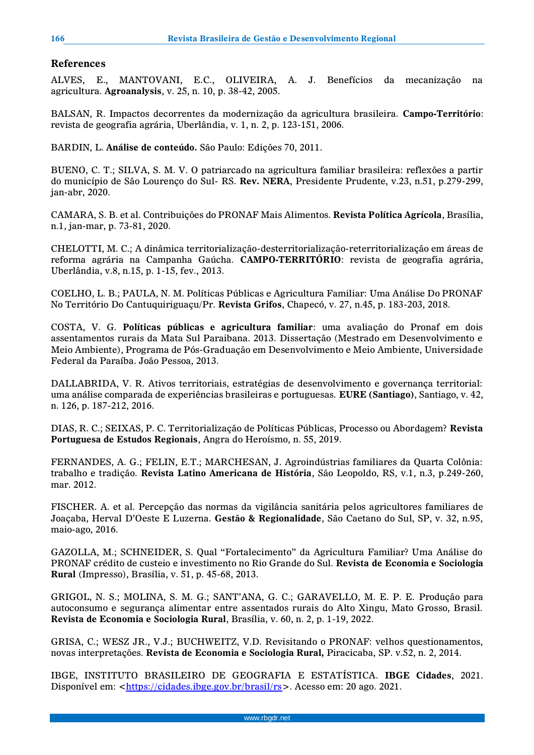# **References**

ALVES, E., MANTOVANI, E.C., OLIVEIRA, A. J. Benefícios da mecanização na agricultura. **Agroanalysis**, v. 25, n. 10, p. 38-42, 2005.

BALSAN, R. Impactos decorrentes da modernização da agricultura brasileira. **Campo-Território**: revista de geografia agrária, Uberlândia, v. 1, n. 2, p. 123-151, 2006.

BARDIN, L. **Análise de conteúdo.** São Paulo: Edições 70, 2011.

BUENO, C. T.; SILVA, S. M. V. O patriarcado na agricultura familiar brasileira: reflexões a partir do município de São Lourenço do Sul- RS. **Rev. NERA**, Presidente Prudente, v.23, n.51, p.279-299, jan-abr, 2020.

CAMARA, S. B. et al. Contribuições do PRONAF Mais Alimentos. **Revista Política Agrícola**, Brasília, n.1, jan-mar, p. 73-81, 2020.

CHELOTTI, M. C.; A dinâmica territorialização-desterritorialização-reterritorialização em áreas de reforma agrária na Campanha Gaúcha. **CAMPO-TERRITÓRIO**: revista de geografia agrária, Uberlândia, v.8, n.15, p. 1-15, fev., 2013.

COELHO, L. B.; PAULA, N. M. Políticas Públicas e Agricultura Familiar: Uma Análise Do PRONAF No Território Do Cantuquiriguaçu/Pr. **Revista Grifos**, Chapecó, v. 27, n.45, p. 183-203, 2018.

COSTA, V. G. **Políticas públicas e agricultura familiar**: uma avaliação do Pronaf em dois assentamentos rurais da Mata Sul Paraibana. 2013. Dissertação (Mestrado em Desenvolvimento e Meio Ambiente), Programa de Pós-Graduação em Desenvolvimento e Meio Ambiente, Universidade Federal da Paraíba. João Pessoa, 2013.

DALLABRIDA, V. R. Ativos territoriais, estratégias de desenvolvimento e governança territorial: uma análise comparada de experiências brasileiras e portuguesas. **EURE (Santiago)**, Santiago, v. 42, n. 126, p. 187-212, 2016.

DIAS, R. C.; SEIXAS, P. C. Territorialização de Políticas Públicas, Processo ou Abordagem? **Revista Portuguesa de Estudos Regionais**, Angra do Heroísmo, n. 55, 2019.

FERNANDES, A. G.; FELIN, E.T.; MARCHESAN, J. Agroindústrias familiares da Quarta Colônia: trabalho e tradição. **Revista Latino Americana de História**, São Leopoldo, RS, v.1, n.3, p.249-260, mar. 2012.

FISCHER. A. et al. Percepção das normas da vigilância sanitária pelos agricultores familiares de Joaçaba, Herval D'Oeste E Luzerna. **Gestão & Regionalidade**, São Caetano do Sul, SP, v. 32, n.95, maio-ago, 2016.

GAZOLLA, M.; SCHNEIDER, S. Qual "Fortalecimento" da Agricultura Familiar? Uma Análise do PRONAF crédito de custeio e investimento no Rio Grande do Sul. **Revista de Economia e Sociologia Rural** (Impresso), Brasília, v. 51, p. 45-68, 2013.

GRIGOL, N. S.; MOLINA, S. M. G.; SANT'ANA, G. C.; GARAVELLO, M. E. P. E. Produção para autoconsumo e segurança alimentar entre assentados rurais do Alto Xingu, Mato Grosso, Brasil. **Revista de Economia e Sociologia Rural**, Brasília, v. 60, n. 2, p. 1-19, 2022.

GRISA, C.; WESZ JR., V.J.; BUCHWEITZ, V.D. Revisitando o PRONAF: velhos questionamentos, novas interpretações. **Revista de Economia e Sociologia Rural,** Piracicaba, SP. v.52, n. 2, 2014.

IBGE, INSTITUTO BRASILEIRO DE GEOGRAFIA E ESTATÍSTICA. **IBGE Cidades**, 2021. Disponível em: [<https://cidades.ibge.gov.br/brasil/rs>](https://cidades.ibge.gov.br/brasil/rs). Acesso em: 20 ago. 2021.